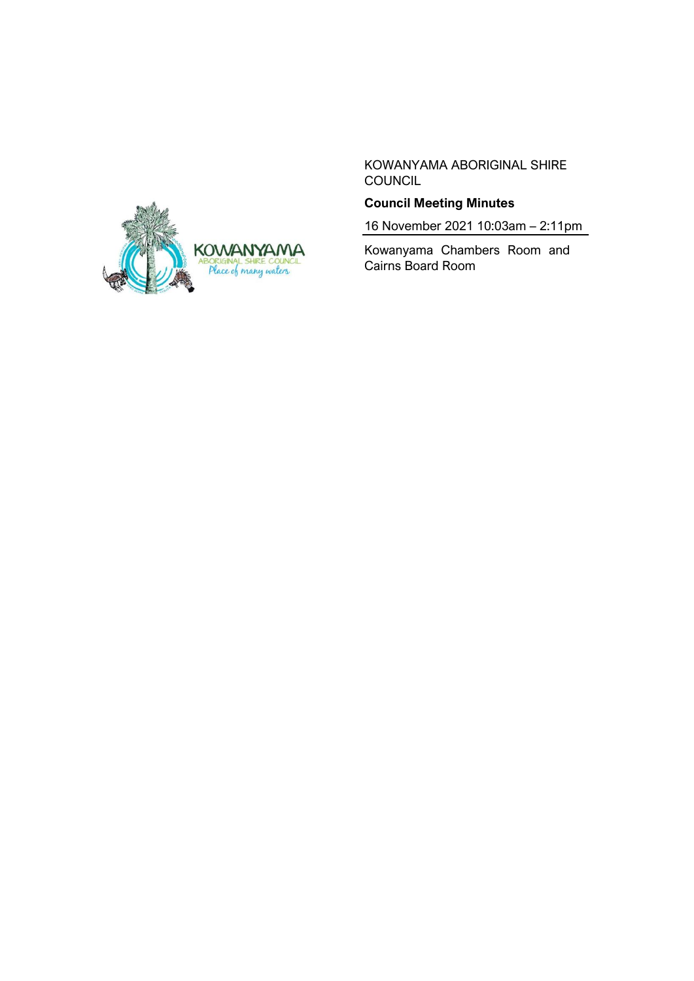

KOWANYAMA ABORIGINAL SHIRE COUNCIL

# **Council Meeting Minutes**

16 November 2021 10:03am – 2:11pm

Kowanyama Chambers Room and Cairns Board Room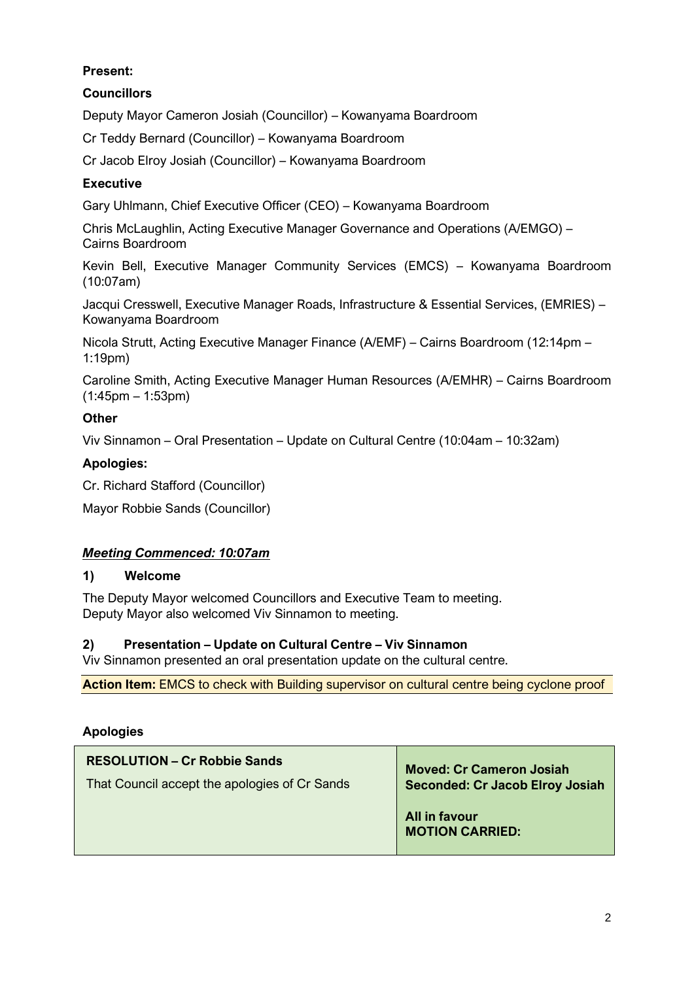# **Present:**

## **Councillors**

Deputy Mayor Cameron Josiah (Councillor) – Kowanyama Boardroom

Cr Teddy Bernard (Councillor) – Kowanyama Boardroom

Cr Jacob Elroy Josiah (Councillor) – Kowanyama Boardroom

#### **Executive**

Gary Uhlmann, Chief Executive Officer (CEO) – Kowanyama Boardroom

Chris McLaughlin, Acting Executive Manager Governance and Operations (A/EMGO) – Cairns Boardroom

Kevin Bell, Executive Manager Community Services (EMCS) – Kowanyama Boardroom (10:07am)

Jacqui Cresswell, Executive Manager Roads, Infrastructure & Essential Services, (EMRIES) – Kowanyama Boardroom

Nicola Strutt, Acting Executive Manager Finance (A/EMF) – Cairns Boardroom (12:14pm – 1:19pm)

Caroline Smith, Acting Executive Manager Human Resources (A/EMHR) – Cairns Boardroom (1:45pm – 1:53pm)

#### **Other**

Viv Sinnamon – Oral Presentation – Update on Cultural Centre (10:04am – 10:32am)

#### **Apologies:**

Cr. Richard Stafford (Councillor)

Mayor Robbie Sands (Councillor)

#### *Meeting Commenced: 10:07am*

#### **1) Welcome**

The Deputy Mayor welcomed Councillors and Executive Team to meeting. Deputy Mayor also welcomed Viv Sinnamon to meeting.

#### **2) Presentation – Update on Cultural Centre – Viv Sinnamon**

Viv Sinnamon presented an oral presentation update on the cultural centre.

**Action Item:** EMCS to check with Building supervisor on cultural centre being cyclone proof

#### **Apologies**

| <b>RESOLUTION – Cr Robbie Sands</b>           | <b>Moved: Cr Cameron Josiah</b>         |
|-----------------------------------------------|-----------------------------------------|
| That Council accept the apologies of Cr Sands | <b>Seconded: Cr Jacob Elroy Josiah</b>  |
|                                               | All in favour<br><b>MOTION CARRIED:</b> |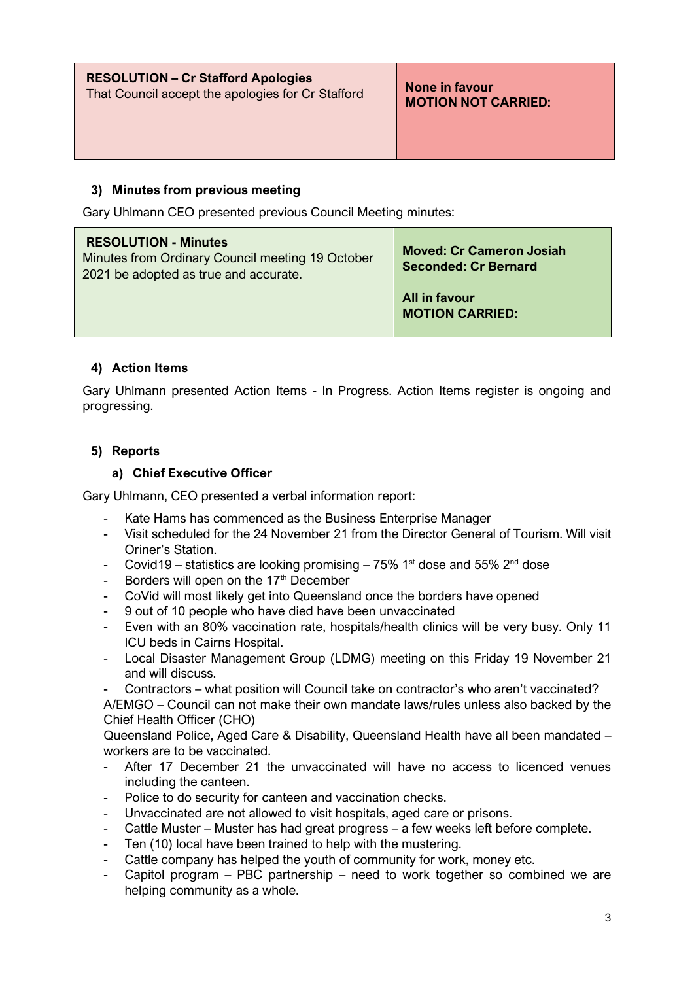| <b>RESOLUTION - Cr Stafford Apologies</b>         | None in favour             |
|---------------------------------------------------|----------------------------|
| That Council accept the apologies for Cr Stafford | <b>MOTION NOT CARRIED:</b> |
|                                                   |                            |

### **3) Minutes from previous meeting**

Gary Uhlmann CEO presented previous Council Meeting minutes:

| <b>RESOLUTION - Minutes</b><br>Minutes from Ordinary Council meeting 19 October<br>2021 be adopted as true and accurate. | <b>Moved: Cr Cameron Josiah</b><br><b>Seconded: Cr Bernard</b> |
|--------------------------------------------------------------------------------------------------------------------------|----------------------------------------------------------------|
|                                                                                                                          | All in favour<br><b>MOTION CARRIED:</b>                        |

## **4) Action Items**

Gary Uhlmann presented Action Items - In Progress. Action Items register is ongoing and progressing.

## **5) Reports**

#### **a) Chief Executive Officer**

Gary Uhlmann, CEO presented a verbal information report:

- Kate Hams has commenced as the Business Enterprise Manager
- Visit scheduled for the 24 November 21 from the Director General of Tourism. Will visit Oriner's Station.
- Covid19 statistics are looking promising  $75\%$  1<sup>st</sup> dose and  $55\%$  2<sup>nd</sup> dose
- Borders will open on the  $17<sup>th</sup>$  December
- CoVid will most likely get into Queensland once the borders have opened
- 9 out of 10 people who have died have been unvaccinated
- Even with an 80% vaccination rate, hospitals/health clinics will be very busy. Only 11 ICU beds in Cairns Hospital.
- Local Disaster Management Group (LDMG) meeting on this Friday 19 November 21 and will discuss.
- Contractors what position will Council take on contractor's who aren't vaccinated?

A/EMGO – Council can not make their own mandate laws/rules unless also backed by the Chief Health Officer (CHO)

Queensland Police, Aged Care & Disability, Queensland Health have all been mandated – workers are to be vaccinated.

- After 17 December 21 the unvaccinated will have no access to licenced venues including the canteen.
- Police to do security for canteen and vaccination checks.
- Unvaccinated are not allowed to visit hospitals, aged care or prisons.
- Cattle Muster Muster has had great progress a few weeks left before complete.
- Ten (10) local have been trained to help with the mustering.
- Cattle company has helped the youth of community for work, money etc.
- Capitol program PBC partnership need to work together so combined we are helping community as a whole.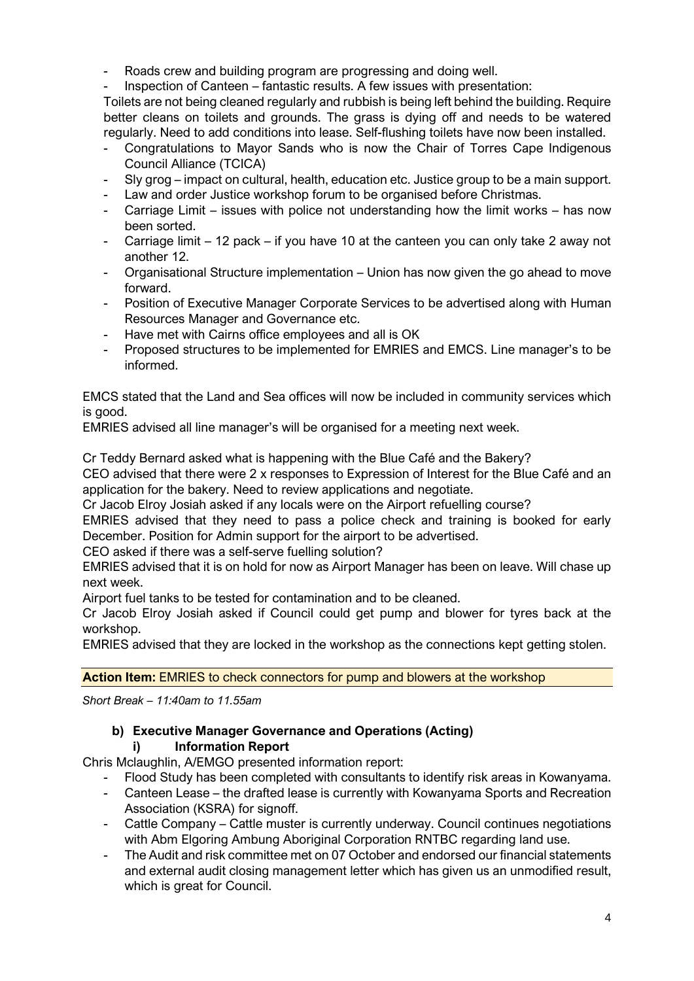- Roads crew and building program are progressing and doing well.
- Inspection of Canteen fantastic results. A few issues with presentation:

Toilets are not being cleaned regularly and rubbish is being left behind the building. Require better cleans on toilets and grounds. The grass is dying off and needs to be watered regularly. Need to add conditions into lease. Self-flushing toilets have now been installed.

- Congratulations to Mayor Sands who is now the Chair of Torres Cape Indigenous Council Alliance (TCICA)
- Sly grog impact on cultural, health, education etc. Justice group to be a main support.
- Law and order Justice workshop forum to be organised before Christmas.
- Carriage Limit issues with police not understanding how the limit works has now been sorted.
- Carriage limit 12 pack if you have 10 at the canteen you can only take 2 away not another 12.
- Organisational Structure implementation Union has now given the go ahead to move forward.
- Position of Executive Manager Corporate Services to be advertised along with Human Resources Manager and Governance etc.
- Have met with Cairns office employees and all is OK
- Proposed structures to be implemented for EMRIES and EMCS. Line manager's to be informed.

EMCS stated that the Land and Sea offices will now be included in community services which is good.

EMRIES advised all line manager's will be organised for a meeting next week.

Cr Teddy Bernard asked what is happening with the Blue Café and the Bakery?

CEO advised that there were 2 x responses to Expression of Interest for the Blue Café and an application for the bakery. Need to review applications and negotiate.

Cr Jacob Elroy Josiah asked if any locals were on the Airport refuelling course?

EMRIES advised that they need to pass a police check and training is booked for early December. Position for Admin support for the airport to be advertised.

CEO asked if there was a self-serve fuelling solution?

EMRIES advised that it is on hold for now as Airport Manager has been on leave. Will chase up next week.

Airport fuel tanks to be tested for contamination and to be cleaned.

Cr Jacob Elroy Josiah asked if Council could get pump and blower for tyres back at the workshop.

EMRIES advised that they are locked in the workshop as the connections kept getting stolen.

**Action Item:** EMRIES to check connectors for pump and blowers at the workshop

*Short Break – 11:40am to 11.55am*

#### **b) Executive Manager Governance and Operations (Acting) i) Information Report**

Chris Mclaughlin, A/EMGO presented information report:

- Flood Study has been completed with consultants to identify risk areas in Kowanyama.
- Canteen Lease the drafted lease is currently with Kowanyama Sports and Recreation Association (KSRA) for signoff.
- Cattle Company Cattle muster is currently underway. Council continues negotiations with Abm Elgoring Ambung Aboriginal Corporation RNTBC regarding land use.
- The Audit and risk committee met on 07 October and endorsed our financial statements and external audit closing management letter which has given us an unmodified result, which is great for Council.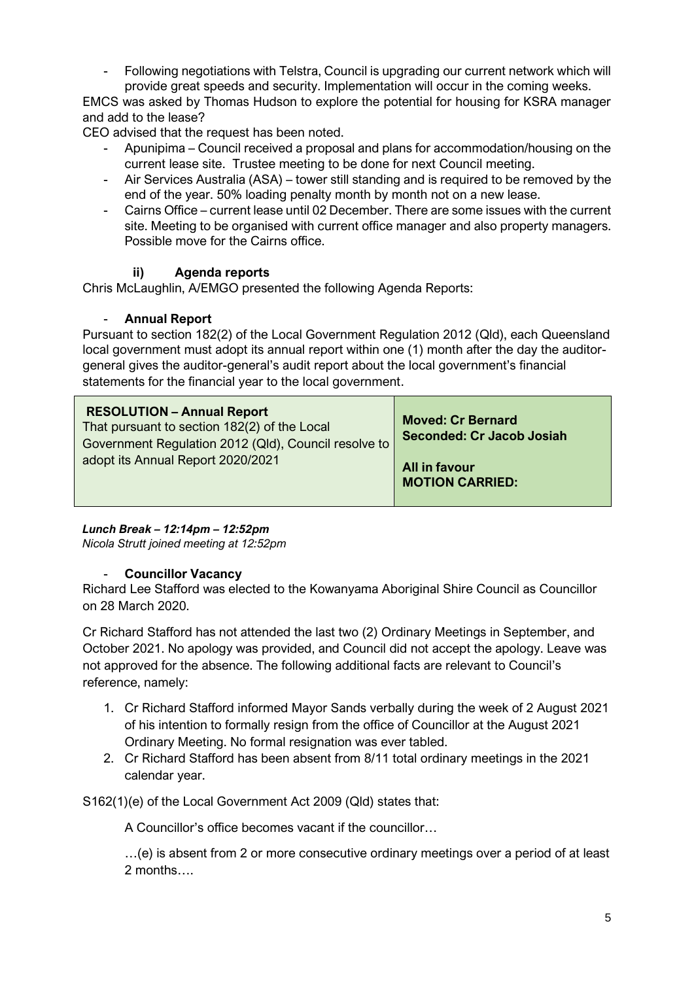- Following negotiations with Telstra, Council is upgrading our current network which will provide great speeds and security. Implementation will occur in the coming weeks.

EMCS was asked by Thomas Hudson to explore the potential for housing for KSRA manager and add to the lease?

CEO advised that the request has been noted.

- Apunipima Council received a proposal and plans for accommodation/housing on the current lease site. Trustee meeting to be done for next Council meeting.
- Air Services Australia (ASA) tower still standing and is required to be removed by the end of the year. 50% loading penalty month by month not on a new lease.
- Cairns Office current lease until 02 December. There are some issues with the current site. Meeting to be organised with current office manager and also property managers. Possible move for the Cairns office.

#### **ii) Agenda reports**

Chris McLaughlin, A/EMGO presented the following Agenda Reports:

#### - **Annual Report**

Pursuant to section 182(2) of the Local Government Regulation 2012 (Qld), each Queensland local government must adopt its annual report within one (1) month after the day the auditorgeneral gives the auditor-general's audit report about the local government's financial statements for the financial year to the local government.

| <b>RESOLUTION - Annual Report</b><br>That pursuant to section 182(2) of the Local<br>Government Regulation 2012 (Qld), Council resolve to | <b>Moved: Cr Bernard</b><br><b>Seconded: Cr Jacob Josiah</b> |
|-------------------------------------------------------------------------------------------------------------------------------------------|--------------------------------------------------------------|
| adopt its Annual Report 2020/2021                                                                                                         | All in favour<br><b>MOTION CARRIED:</b>                      |

*Lunch Break – 12:14pm – 12:52pm Nicola Strutt joined meeting at 12:52pm*

#### - **Councillor Vacancy**

Richard Lee Stafford was elected to the Kowanyama Aboriginal Shire Council as Councillor on 28 March 2020.

Cr Richard Stafford has not attended the last two (2) Ordinary Meetings in September, and October 2021. No apology was provided, and Council did not accept the apology. Leave was not approved for the absence. The following additional facts are relevant to Council's reference, namely:

- 1. Cr Richard Stafford informed Mayor Sands verbally during the week of 2 August 2021 of his intention to formally resign from the office of Councillor at the August 2021 Ordinary Meeting. No formal resignation was ever tabled.
- 2. Cr Richard Stafford has been absent from 8/11 total ordinary meetings in the 2021 calendar year.

S162(1)(e) of the Local Government Act 2009 (Qld) states that:

A Councillor's office becomes vacant if the councillor…

…(e) is absent from 2 or more consecutive ordinary meetings over a period of at least 2 months….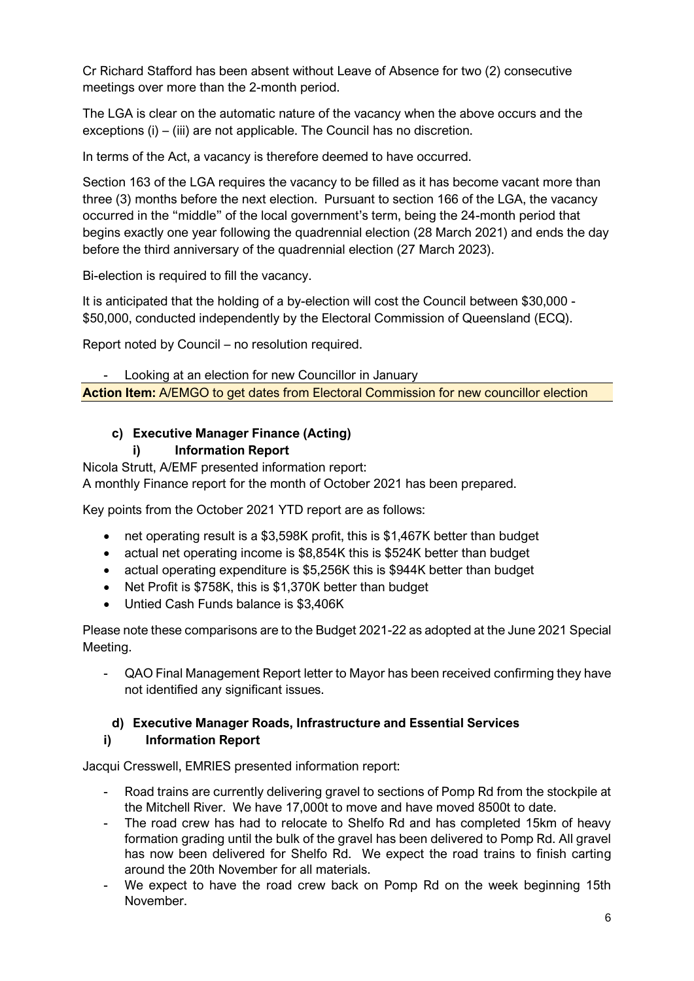Cr Richard Stafford has been absent without Leave of Absence for two (2) consecutive meetings over more than the 2-month period.

The LGA is clear on the automatic nature of the vacancy when the above occurs and the exceptions (i) – (iii) are not applicable. The Council has no discretion.

In terms of the Act, a vacancy is therefore deemed to have occurred.

Section 163 of the LGA requires the vacancy to be filled as it has become vacant more than three (3) months before the next election. Pursuant to section 166 of the LGA, the vacancy occurred in the "middle" of the local government's term, being the 24-month period that begins exactly one year following the quadrennial election (28 March 2021) and ends the day before the third anniversary of the quadrennial election (27 March 2023).

Bi-election is required to fill the vacancy.

It is anticipated that the holding of a by-election will cost the Council between \$30,000 - \$50,000, conducted independently by the Electoral Commission of Queensland (ECQ).

Report noted by Council – no resolution required.

- Looking at an election for new Councillor in January **Action Item:** A/EMGO to get dates from Electoral Commission for new councillor election

# **c) Executive Manager Finance (Acting)**

## **i) Information Report**

Nicola Strutt, A/EMF presented information report:

A monthly Finance report for the month of October 2021 has been prepared.

Key points from the October 2021 YTD report are as follows:

- net operating result is a \$3,598K profit, this is \$1,467K better than budget
- actual net operating income is \$8,854K this is \$524K better than budget
- actual operating expenditure is \$5,256K this is \$944K better than budget
- Net Profit is \$758K, this is \$1,370K better than budget
- Untied Cash Funds balance is \$3,406K

Please note these comparisons are to the Budget 2021-22 as adopted at the June 2021 Special Meeting.

- QAO Final Management Report letter to Mayor has been received confirming they have not identified any significant issues.

# **d) Executive Manager Roads, Infrastructure and Essential Services**

## **i) Information Report**

Jacqui Cresswell, EMRIES presented information report:

- Road trains are currently delivering gravel to sections of Pomp Rd from the stockpile at the Mitchell River. We have 17,000t to move and have moved 8500t to date.
- The road crew has had to relocate to Shelfo Rd and has completed 15km of heavy formation grading until the bulk of the gravel has been delivered to Pomp Rd. All gravel has now been delivered for Shelfo Rd. We expect the road trains to finish carting around the 20th November for all materials.
- We expect to have the road crew back on Pomp Rd on the week beginning 15th November.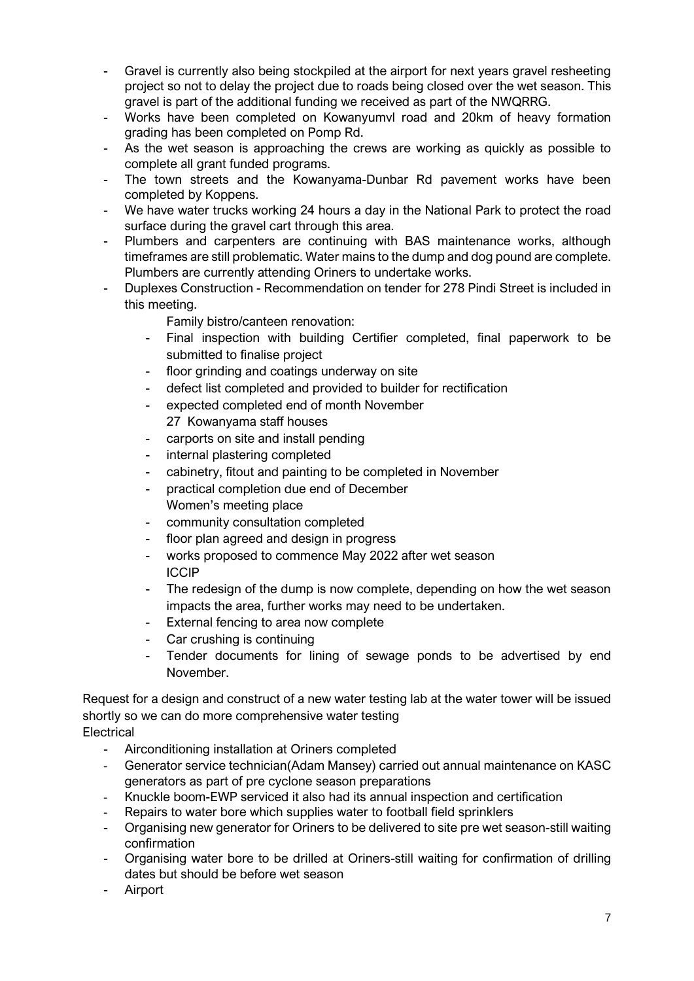- Gravel is currently also being stockpiled at the airport for next years gravel resheeting project so not to delay the project due to roads being closed over the wet season. This gravel is part of the additional funding we received as part of the NWQRRG.
- Works have been completed on Kowanyumvl road and 20km of heavy formation grading has been completed on Pomp Rd.
- As the wet season is approaching the crews are working as quickly as possible to complete all grant funded programs.
- The town streets and the Kowanyama-Dunbar Rd pavement works have been completed by Koppens.
- We have water trucks working 24 hours a day in the National Park to protect the road surface during the gravel cart through this area.
- Plumbers and carpenters are continuing with BAS maintenance works, although timeframes are still problematic. Water mains to the dump and dog pound are complete. Plumbers are currently attending Oriners to undertake works.
- Duplexes Construction Recommendation on tender for 278 Pindi Street is included in this meeting.

Family bistro/canteen renovation:

- Final inspection with building Certifier completed, final paperwork to be submitted to finalise project
- floor grinding and coatings underway on site
- defect list completed and provided to builder for rectification
- expected completed end of month November 27 Kowanyama staff houses
- carports on site and install pending
- internal plastering completed
- cabinetry, fitout and painting to be completed in November
- practical completion due end of December Women's meeting place
- community consultation completed
- floor plan agreed and design in progress
- works proposed to commence May 2022 after wet season ICCIP
- The redesign of the dump is now complete, depending on how the wet season impacts the area, further works may need to be undertaken.
- External fencing to area now complete
- Car crushing is continuing
- Tender documents for lining of sewage ponds to be advertised by end November.

Request for a design and construct of a new water testing lab at the water tower will be issued shortly so we can do more comprehensive water testing **Electrical** 

- Airconditioning installation at Oriners completed
- Generator service technician(Adam Mansey) carried out annual maintenance on KASC generators as part of pre cyclone season preparations
- Knuckle boom-EWP serviced it also had its annual inspection and certification
- Repairs to water bore which supplies water to football field sprinklers
- Organising new generator for Oriners to be delivered to site pre wet season-still waiting confirmation
- Organising water bore to be drilled at Oriners-still waiting for confirmation of drilling dates but should be before wet season
- Airport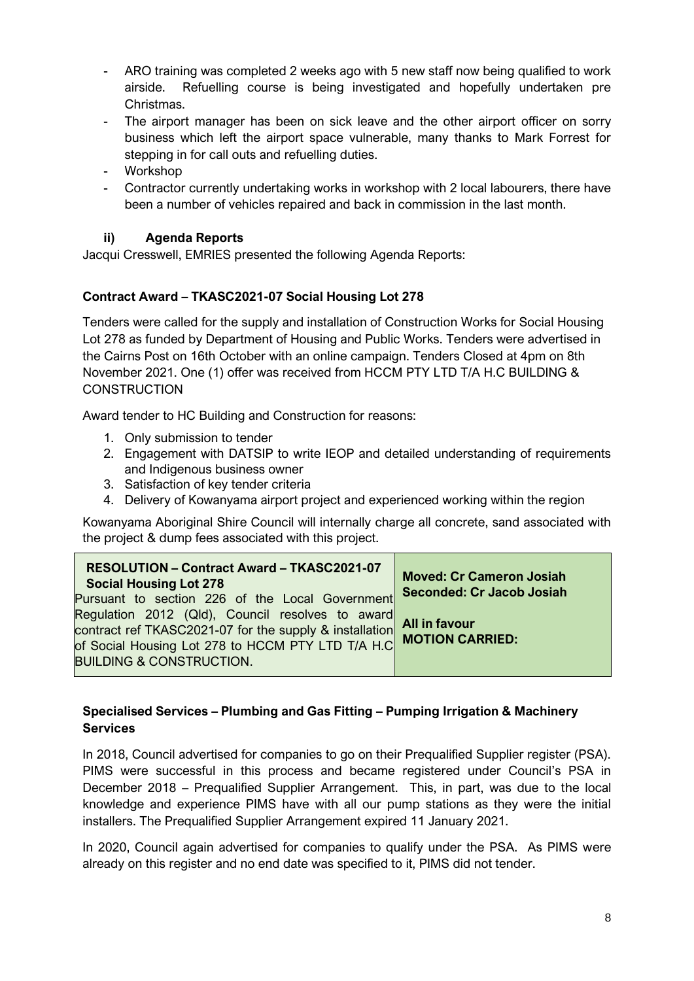- ARO training was completed 2 weeks ago with 5 new staff now being qualified to work airside. Refuelling course is being investigated and hopefully undertaken pre Christmas.
- The airport manager has been on sick leave and the other airport officer on sorry business which left the airport space vulnerable, many thanks to Mark Forrest for stepping in for call outs and refuelling duties.
- Workshop
- Contractor currently undertaking works in workshop with 2 local labourers, there have been a number of vehicles repaired and back in commission in the last month.

#### **ii) Agenda Reports**

Jacqui Cresswell, EMRIES presented the following Agenda Reports:

#### **Contract Award – TKASC2021-07 Social Housing Lot 278**

Tenders were called for the supply and installation of Construction Works for Social Housing Lot 278 as funded by Department of Housing and Public Works. Tenders were advertised in the Cairns Post on 16th October with an online campaign. Tenders Closed at 4pm on 8th November 2021. One (1) offer was received from HCCM PTY LTD T/A H.C BUILDING & **CONSTRUCTION** 

Award tender to HC Building and Construction for reasons:

- 1. Only submission to tender
- 2. Engagement with DATSIP to write IEOP and detailed understanding of requirements and Indigenous business owner
- 3. Satisfaction of key tender criteria
- 4. Delivery of Kowanyama airport project and experienced working within the region

Kowanyama Aboriginal Shire Council will internally charge all concrete, sand associated with the project & dump fees associated with this project.

| RESOLUTION - Contract Award - TKASC2021-07<br><b>Social Housing Lot 278</b><br>Pursuant to section 226 of the Local Government                                                                          | <b>Moved: Cr Cameron Josiah</b><br><b>Seconded: Cr Jacob Josiah</b> |
|---------------------------------------------------------------------------------------------------------------------------------------------------------------------------------------------------------|---------------------------------------------------------------------|
| Regulation 2012 (Qld), Council resolves to award<br>contract ref TKASC2021-07 for the supply & installation<br>of Social Housing Lot 278 to HCCM PTY LTD T/A H.C<br><b>BUILDING &amp; CONSTRUCTION.</b> | <b>All in favour</b><br><b>MOTION CARRIED:</b>                      |

## **Specialised Services – Plumbing and Gas Fitting – Pumping Irrigation & Machinery Services**

In 2018, Council advertised for companies to go on their Prequalified Supplier register (PSA). PIMS were successful in this process and became registered under Council's PSA in December 2018 – Prequalified Supplier Arrangement. This, in part, was due to the local knowledge and experience PIMS have with all our pump stations as they were the initial installers. The Prequalified Supplier Arrangement expired 11 January 2021.

In 2020, Council again advertised for companies to qualify under the PSA. As PIMS were already on this register and no end date was specified to it, PIMS did not tender.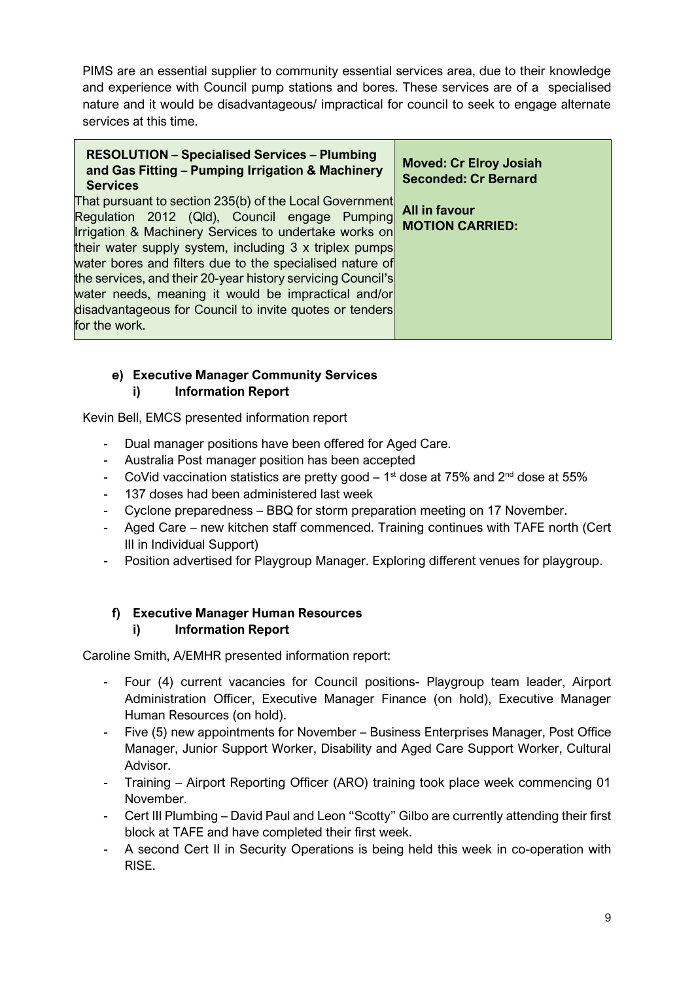PIMS are an essential supplier to community essential services area, due to their knowledge and experience with Council pump stations and bores. These services are of a specialised nature and it would be disadvantageous/ impractical for council to seek to engage alternate services at this time.

| <b>RESOLUTION - Specialised Services - Plumbing</b><br>and Gas Fitting - Pumping Irrigation & Machinery<br><b>Services</b>                                                                                                                                                              | <b>Moved: Cr Elroy Josiah</b><br><b>Seconded: Cr Bernard</b> |
|-----------------------------------------------------------------------------------------------------------------------------------------------------------------------------------------------------------------------------------------------------------------------------------------|--------------------------------------------------------------|
| That pursuant to section 235(b) of the Local Government<br>Regulation 2012 (Qld), Council engage Pumping<br>Irrigation & Machinery Services to undertake works on<br>their water supply system, including 3 x triplex pumps<br>water bores and filters due to the specialised nature of | All in favour<br><b>MOTION CARRIED:</b>                      |
| the services, and their 20-year history servicing Council's<br>water needs, meaning it would be impractical and/or<br>disadvantageous for Council to invite quotes or tenders<br>for the work.                                                                                          |                                                              |

#### **e) Executive Manager Community Services i) Information Report**

Kevin Bell, EMCS presented information report

- Dual manager positions have been offered for Aged Care.
- Australia Post manager position has been accepted
- CoVid vaccination statistics are pretty good  $-1<sup>st</sup>$  dose at 75% and  $2<sup>nd</sup>$  dose at 55%
- 137 doses had been administered last week
- Cyclone preparedness BBQ for storm preparation meeting on 17 November.
- Aged Care new kitchen staff commenced. Training continues with TAFE north (Cert III in Individual Support)
- Position advertised for Playgroup Manager. Exploring different venues for playgroup.

#### **f) Executive Manager Human Resources i) Information Report**

Caroline Smith, A/EMHR presented information report:

- Four (4) current vacancies for Council positions- Playgroup team leader, Airport Administration Officer, Executive Manager Finance (on hold), Executive Manager Human Resources (on hold).
- Five (5) new appointments for November Business Enterprises Manager, Post Office Manager, Junior Support Worker, Disability and Aged Care Support Worker, Cultural Advisor.
- Training Airport Reporting Officer (ARO) training took place week commencing 01 November.
- Cert III Plumbing David Paul and Leon "Scotty" Gilbo are currently attending their first block at TAFE and have completed their first week.
- A second Cert II in Security Operations is being held this week in co-operation with RISE.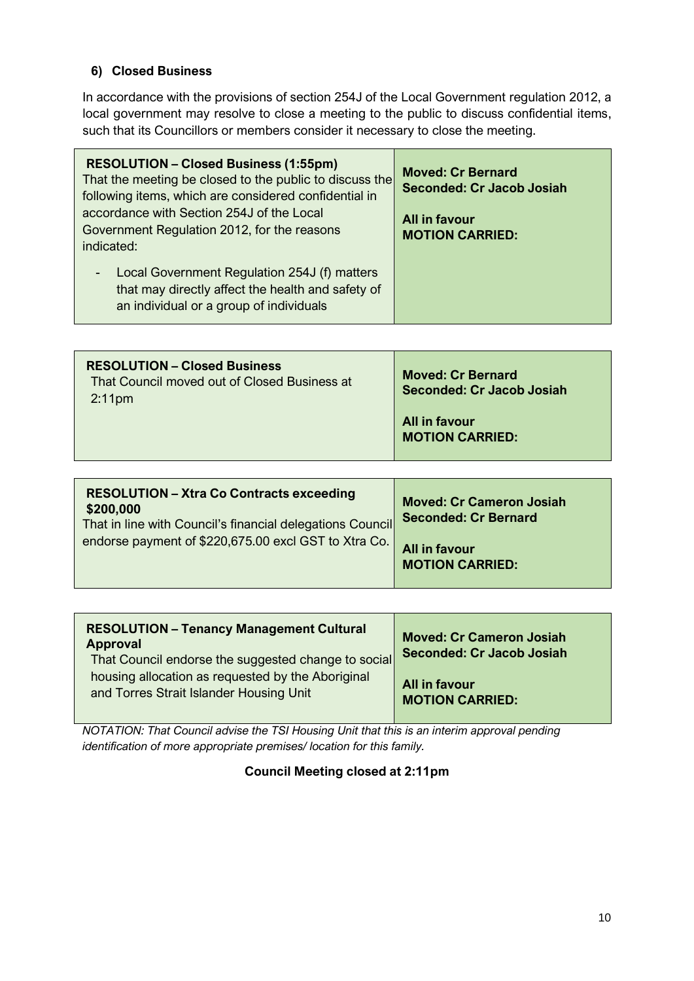## **6) Closed Business**

In accordance with the provisions of section 254J of the Local Government regulation 2012, a local government may resolve to close a meeting to the public to discuss confidential items, such that its Councillors or members consider it necessary to close the meeting.

| <b>RESOLUTION - Closed Business (1:55pm)</b><br>That the meeting be closed to the public to discuss the<br>following items, which are considered confidential in<br>accordance with Section 254J of the Local<br>Government Regulation 2012, for the reasons<br>indicated: | <b>Moved: Cr Bernard</b><br><b>Seconded: Cr Jacob Josiah</b><br>All in favour<br><b>MOTION CARRIED:</b> |
|----------------------------------------------------------------------------------------------------------------------------------------------------------------------------------------------------------------------------------------------------------------------------|---------------------------------------------------------------------------------------------------------|
| Local Government Regulation 254J (f) matters<br>$\sim$<br>that may directly affect the health and safety of<br>an individual or a group of individuals                                                                                                                     |                                                                                                         |

| 2:11 <sub>pm</sub> | Seconded: Cr Jacob Josiah               |
|--------------------|-----------------------------------------|
|                    | All in favour<br><b>MOTION CARRIED:</b> |

| <b>RESOLUTION - Xtra Co Contracts exceeding</b><br>\$200,000<br>That in line with Council's financial delegations Council | <b>Moved: Cr Cameron Josiah</b><br><b>Seconded: Cr Bernard</b> |
|---------------------------------------------------------------------------------------------------------------------------|----------------------------------------------------------------|
| endorse payment of \$220,675.00 excl GST to Xtra Co.                                                                      | <b>All in favour</b><br><b>MOTION CARRIED:</b>                 |

| <b>RESOLUTION - Tenancy Management Cultural</b><br><b>Approval</b><br>That Council endorse the suggested change to social | <b>Moved: Cr Cameron Josiah</b><br><b>Seconded: Cr Jacob Josiah</b> |
|---------------------------------------------------------------------------------------------------------------------------|---------------------------------------------------------------------|
| housing allocation as requested by the Aboriginal                                                                         | All in favour                                                       |
| and Torres Strait Islander Housing Unit                                                                                   | <b>MOTION CARRIED:</b>                                              |

*NOTATION: That Council advise the TSI Housing Unit that this is an interim approval pending identification of more appropriate premises/ location for this family.* 

## **Council Meeting closed at 2:11pm**